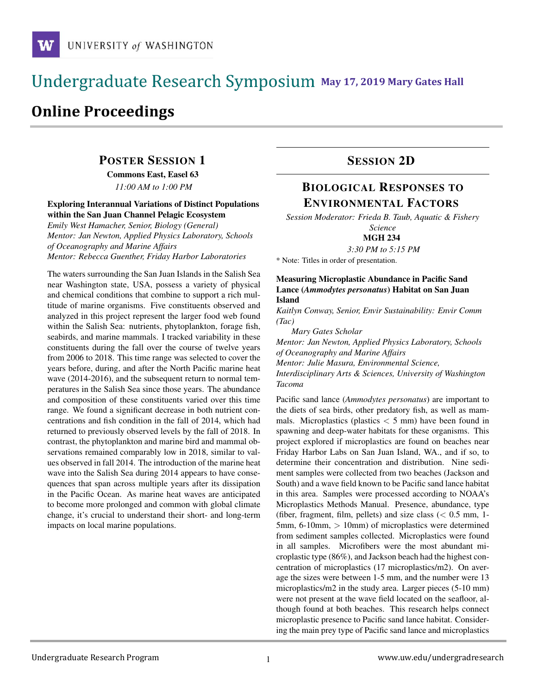## **May 17, 2019 Mary Gates Hall** Ĭ

# **Online Proceedings**

### POSTER SESSION 1

Commons East, Easel 63

*11:00 AM to 1:00 PM*

#### Exploring Interannual Variations of Distinct Populations within the San Juan Channel Pelagic Ecosystem

*Emily West Hamacher, Senior, Biology (General) Mentor: Jan Newton, Applied Physics Laboratory, Schools of Oceanography and Marine Affairs Mentor: Rebecca Guenther, Friday Harbor Laboratories*

The waters surrounding the San Juan Islands in the Salish Sea near Washington state, USA, possess a variety of physical and chemical conditions that combine to support a rich multitude of marine organisms. Five constituents observed and analyzed in this project represent the larger food web found within the Salish Sea: nutrients, phytoplankton, forage fish, seabirds, and marine mammals. I tracked variability in these constituents during the fall over the course of twelve years from 2006 to 2018. This time range was selected to cover the years before, during, and after the North Pacific marine heat wave (2014-2016), and the subsequent return to normal temperatures in the Salish Sea since those years. The abundance and composition of these constituents varied over this time range. We found a significant decrease in both nutrient concentrations and fish condition in the fall of 2014, which had returned to previously observed levels by the fall of 2018. In contrast, the phytoplankton and marine bird and mammal observations remained comparably low in 2018, similar to values observed in fall 2014. The introduction of the marine heat wave into the Salish Sea during 2014 appears to have consequences that span across multiple years after its dissipation in the Pacific Ocean. As marine heat waves are anticipated to become more prolonged and common with global climate change, it's crucial to understand their short- and long-term impacts on local marine populations.

### SESSION 2D

# BIOLOGICAL RESPONSES TO ENVIRONMENTAL FACTORS

*Session Moderator: Frieda B. Taub, Aquatic & Fishery Science*

MGH 234

*3:30 PM to 5:15 PM*

\* Note: Titles in order of presentation.

#### Measuring Microplastic Abundance in Pacific Sand Lance (*Ammodytes personatus*) Habitat on San Juan Island

*Kaitlyn Conway, Senior, Envir Sustainability: Envir Comm (Tac)*

*Mary Gates Scholar*

*Mentor: Jan Newton, Applied Physics Laboratory, Schools of Oceanography and Marine Affairs*

*Mentor: Julie Masura, Environmental Science,*

*Interdisciplinary Arts & Sciences, University of Washington Tacoma*

Pacific sand lance (*Ammodytes personatus*) are important to the diets of sea birds, other predatory fish, as well as mammals. Microplastics (plastics  $\lt$  5 mm) have been found in spawning and deep-water habitats for these organisms. This project explored if microplastics are found on beaches near Friday Harbor Labs on San Juan Island, WA., and if so, to determine their concentration and distribution. Nine sediment samples were collected from two beaches (Jackson and South) and a wave field known to be Pacific sand lance habitat in this area. Samples were processed according to NOAA's Microplastics Methods Manual. Presence, abundance, type (fiber, fragment, film, pellets) and size class  $(< 0.5$  mm, 1-5mm, 6-10mm, > 10mm) of microplastics were determined from sediment samples collected. Microplastics were found in all samples. Microfibers were the most abundant microplastic type (86%), and Jackson beach had the highest concentration of microplastics (17 microplastics/m2). On average the sizes were between 1-5 mm, and the number were 13 microplastics/m2 in the study area. Larger pieces (5-10 mm) were not present at the wave field located on the seafloor, although found at both beaches. This research helps connect microplastic presence to Pacific sand lance habitat. Considering the main prey type of Pacific sand lance and microplastics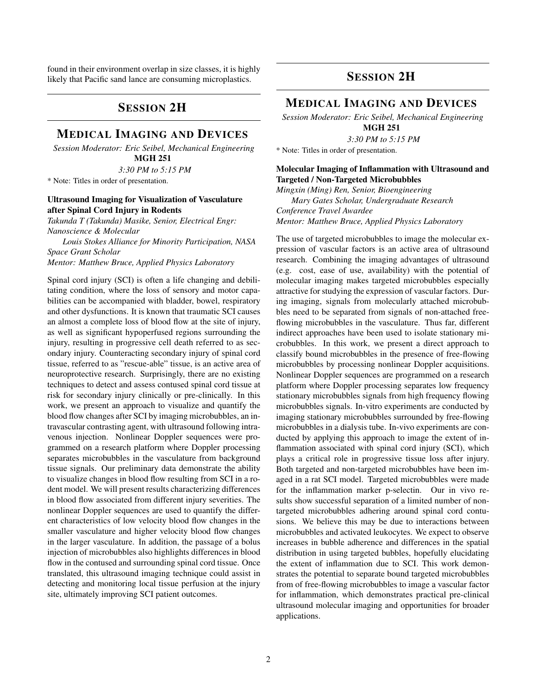found in their environment overlap in size classes, it is highly likely that Pacific sand lance are consuming microplastics.

### SESSION 2H

### MEDICAL IMAGING AND DEVICES

*Session Moderator: Eric Seibel, Mechanical Engineering* MGH 251

*3:30 PM to 5:15 PM*

\* Note: Titles in order of presentation.

#### Ultrasound Imaging for Visualization of Vasculature after Spinal Cord Injury in Rodents

*Takunda T (Takunda) Masike, Senior, Electrical Engr: Nanoscience & Molecular*

*Louis Stokes Alliance for Minority Participation, NASA Space Grant Scholar Mentor: Matthew Bruce, Applied Physics Laboratory*

Spinal cord injury (SCI) is often a life changing and debilitating condition, where the loss of sensory and motor capabilities can be accompanied with bladder, bowel, respiratory and other dysfunctions. It is known that traumatic SCI causes an almost a complete loss of blood flow at the site of injury, as well as significant hypoperfused regions surrounding the injury, resulting in progressive cell death referred to as secondary injury. Counteracting secondary injury of spinal cord tissue, referred to as "rescue-able" tissue, is an active area of neuroprotective research. Surprisingly, there are no existing techniques to detect and assess contused spinal cord tissue at risk for secondary injury clinically or pre-clinically. In this work, we present an approach to visualize and quantify the blood flow changes after SCI by imaging microbubbles, an intravascular contrasting agent, with ultrasound following intravenous injection. Nonlinear Doppler sequences were programmed on a research platform where Doppler processing separates microbubbles in the vasculature from background tissue signals. Our preliminary data demonstrate the ability to visualize changes in blood flow resulting from SCI in a rodent model. We will present results characterizing differences in blood flow associated from different injury severities. The nonlinear Doppler sequences are used to quantify the different characteristics of low velocity blood flow changes in the smaller vasculature and higher velocity blood flow changes in the larger vasculature. In addition, the passage of a bolus injection of microbubbles also highlights differences in blood flow in the contused and surrounding spinal cord tissue. Once translated, this ultrasound imaging technique could assist in detecting and monitoring local tissue perfusion at the injury site, ultimately improving SCI patient outcomes.

### SESSION 2H

### MEDICAL IMAGING AND DEVICES

*Session Moderator: Eric Seibel, Mechanical Engineering* MGH 251

*3:30 PM to 5:15 PM*

\* Note: Titles in order of presentation.

#### Molecular Imaging of Inflammation with Ultrasound and Targeted / Non-Targeted Microbubbles

*Mingxin (Ming) Ren, Senior, Bioengineering Mary Gates Scholar, Undergraduate Research Conference Travel Awardee Mentor: Matthew Bruce, Applied Physics Laboratory*

The use of targeted microbubbles to image the molecular expression of vascular factors is an active area of ultrasound research. Combining the imaging advantages of ultrasound (e.g. cost, ease of use, availability) with the potential of molecular imaging makes targeted microbubbles especially attractive for studying the expression of vascular factors. During imaging, signals from molecularly attached microbubbles need to be separated from signals of non-attached freeflowing microbubbles in the vasculature. Thus far, different indirect approaches have been used to isolate stationary microbubbles. In this work, we present a direct approach to classify bound microbubbles in the presence of free-flowing microbubbles by processing nonlinear Doppler acquisitions. Nonlinear Doppler sequences are programmed on a research platform where Doppler processing separates low frequency stationary microbubbles signals from high frequency flowing microbubbles signals. In-vitro experiments are conducted by imaging stationary microbubbles surrounded by free-flowing microbubbles in a dialysis tube. In-vivo experiments are conducted by applying this approach to image the extent of inflammation associated with spinal cord injury (SCI), which plays a critical role in progressive tissue loss after injury. Both targeted and non-targeted microbubbles have been imaged in a rat SCI model. Targeted microbubbles were made for the inflammation marker p-selectin. Our in vivo results show successful separation of a limited number of nontargeted microbubbles adhering around spinal cord contusions. We believe this may be due to interactions between microbubbles and activated leukocytes. We expect to observe increases in bubble adherence and differences in the spatial distribution in using targeted bubbles, hopefully elucidating the extent of inflammation due to SCI. This work demonstrates the potential to separate bound targeted microbubbles from of free-flowing microbubbles to image a vascular factor for inflammation, which demonstrates practical pre-clinical ultrasound molecular imaging and opportunities for broader applications.